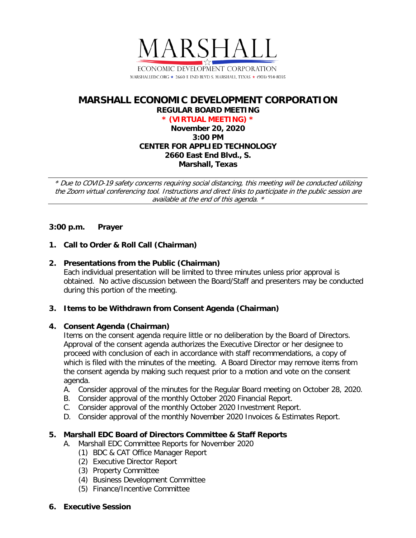

# **MARSHALL ECONOMIC DEVELOPMENT CORPORATION REGULAR BOARD MEETING \* (VIRTUAL MEETING) \***

**November 20, 2020 3:00 PM CENTER FOR APPLIED TECHNOLOGY 2660 East End Blvd., S. Marshall, Texas**

\* Due to COVID-19 safety concerns requiring social distancing, this meeting will be conducted utilizing the Zoom virtual conferencing tool. Instructions and direct links to participate in the public session are available at the end of this agenda. \*

# **3:00 p.m. Prayer**

# **1. Call to Order & Roll Call (Chairman)**

### **2. Presentations from the Public (Chairman)**

Each individual presentation will be limited to three minutes unless prior approval is obtained. No active discussion between the Board/Staff and presenters may be conducted during this portion of the meeting.

### **3. Items to be Withdrawn from Consent Agenda (Chairman)**

### **4. Consent Agenda (Chairman)**

Items on the consent agenda require little or no deliberation by the Board of Directors. Approval of the consent agenda authorizes the Executive Director or her designee to proceed with conclusion of each in accordance with staff recommendations, a copy of which is filed with the minutes of the meeting. A Board Director may remove items from the consent agenda by making such request prior to a motion and vote on the consent agenda.

- A. Consider approval of the minutes for the Regular Board meeting on October 28, 2020.
- B. Consider approval of the monthly October 2020 Financial Report.
- C. Consider approval of the monthly October 2020 Investment Report.
- D. Consider approval of the monthly November 2020 Invoices & Estimates Report.

### **5. Marshall EDC Board of Directors Committee & Staff Reports**

- A. Marshall EDC Committee Reports for November 2020
	- (1) BDC & CAT Office Manager Report
	- (2) Executive Director Report
	- (3) Property Committee
	- (4) Business Development Committee
	- (5) Finance/Incentive Committee
- **6. Executive Session**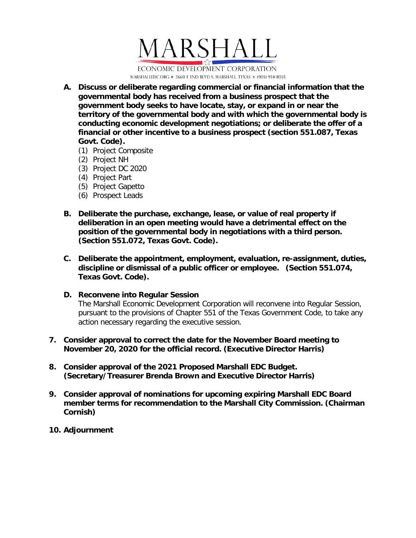

- **A. Discuss or deliberate regarding commercial or financial information that the governmental body has received from a business prospect that the government body seeks to have locate, stay, or expand in or near the territory of the governmental body and with which the governmental body is conducting economic development negotiations; or deliberate the offer of a financial or other incentive to a business prospect (section 551.087, Texas Govt. Code).**
	- (1) Project Composite
	- (2) Project NH
	- (3) Project DC 2020
	- (4) Project Part
	- (5) Project Gapetto
	- (6) Prospect Leads
- **B. Deliberate the purchase, exchange, lease, or value of real property if deliberation in an open meeting would have a detrimental effect on the position of the governmental body in negotiations with a third person. (Section 551.072, Texas Govt. Code).**
- **C. Deliberate the appointment, employment, evaluation, re-assignment, duties, discipline or dismissal of a public officer or employee. (Section 551.074, Texas Govt. Code).**

### **D. Reconvene into Regular Session**

The Marshall Economic Development Corporation will reconvene into Regular Session, pursuant to the provisions of Chapter 551 of the Texas Government Code, to take any action necessary regarding the executive session.

- **7. Consider approval to correct the date for the November Board meeting to November 20, 2020 for the official record. (Executive Director Harris)**
- **8. Consider approval of the 2021 Proposed Marshall EDC Budget. (Secretary/Treasurer Brenda Brown and Executive Director Harris)**
- **9. Consider approval of nominations for upcoming expiring Marshall EDC Board member terms for recommendation to the Marshall City Commission. (Chairman Cornish)**
- **10. Adjournment**